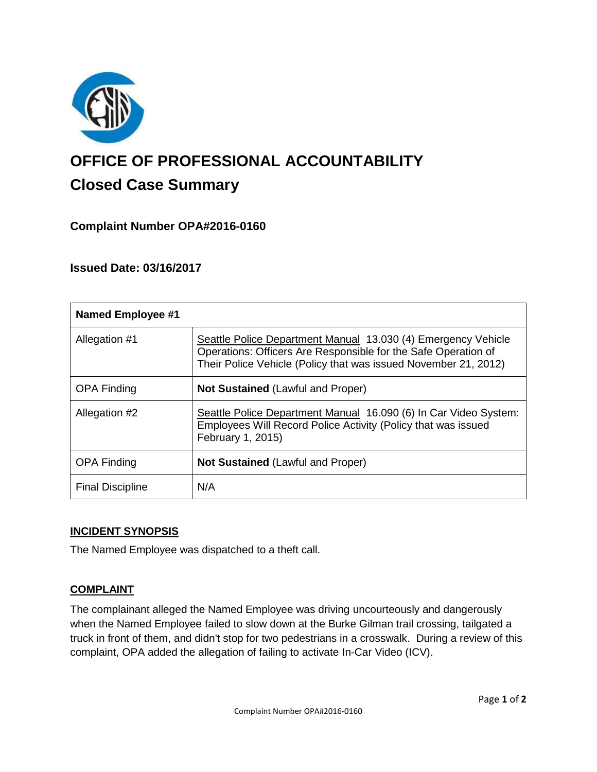

# **OFFICE OF PROFESSIONAL ACCOUNTABILITY Closed Case Summary**

# **Complaint Number OPA#2016-0160**

# **Issued Date: 03/16/2017**

| <b>Named Employee #1</b> |                                                                                                                                                                                                    |
|--------------------------|----------------------------------------------------------------------------------------------------------------------------------------------------------------------------------------------------|
| Allegation #1            | Seattle Police Department Manual 13.030 (4) Emergency Vehicle<br>Operations: Officers Are Responsible for the Safe Operation of<br>Their Police Vehicle (Policy that was issued November 21, 2012) |
| <b>OPA Finding</b>       | <b>Not Sustained (Lawful and Proper)</b>                                                                                                                                                           |
| Allegation #2            | Seattle Police Department Manual 16.090 (6) In Car Video System:<br>Employees Will Record Police Activity (Policy that was issued<br>February 1, 2015)                                             |
| <b>OPA Finding</b>       | <b>Not Sustained (Lawful and Proper)</b>                                                                                                                                                           |
| <b>Final Discipline</b>  | N/A                                                                                                                                                                                                |

## **INCIDENT SYNOPSIS**

The Named Employee was dispatched to a theft call.

## **COMPLAINT**

The complainant alleged the Named Employee was driving uncourteously and dangerously when the Named Employee failed to slow down at the Burke Gilman trail crossing, tailgated a truck in front of them, and didn't stop for two pedestrians in a crosswalk. During a review of this complaint, OPA added the allegation of failing to activate In-Car Video (ICV).